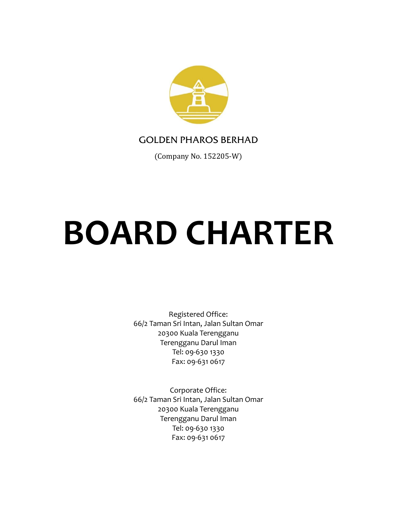

# GOLDEN PHAROS BERHAD

(Company No. 152205-W)

# **BOARD CHARTER**

Registered Office: 66/2 Taman Sri Intan, Jalan Sultan Omar 20300 Kuala Terengganu Terengganu Darul Iman Tel: 09-630 1330 Fax: 09-631 0617

Corporate Office: 66/2 Taman Sri Intan, Jalan Sultan Omar 20300 Kuala Terengganu Terengganu Darul Iman Tel: 09-630 1330 Fax: 09-631 0617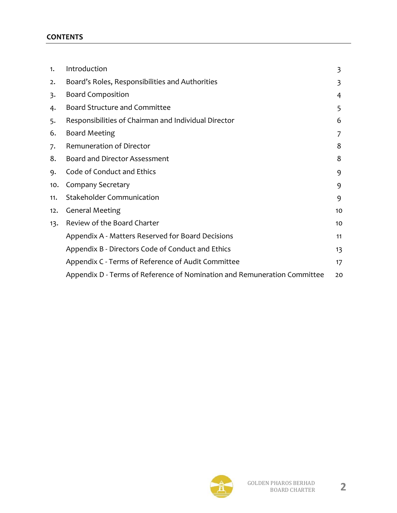## **CONTENTS**

| Introduction                                                             | 3              |
|--------------------------------------------------------------------------|----------------|
| Board's Roles, Responsibilities and Authorities                          | $\overline{3}$ |
| <b>Board Composition</b>                                                 | 4              |
| Board Structure and Committee                                            | 5              |
| Responsibilities of Chairman and Individual Director                     | 6              |
| <b>Board Meeting</b>                                                     | 7              |
| Remuneration of Director                                                 | 8              |
| <b>Board and Director Assessment</b>                                     | 8              |
| Code of Conduct and Ethics                                               | 9              |
| <b>Company Secretary</b>                                                 | 9              |
| <b>Stakeholder Communication</b>                                         | 9              |
| <b>General Meeting</b>                                                   | 10             |
| Review of the Board Charter                                              | 10             |
| Appendix A - Matters Reserved for Board Decisions                        | 11             |
| Appendix B - Directors Code of Conduct and Ethics                        | 13             |
| Appendix C - Terms of Reference of Audit Committee                       | 17             |
| Appendix D - Terms of Reference of Nomination and Remuneration Committee | 20             |
|                                                                          |                |

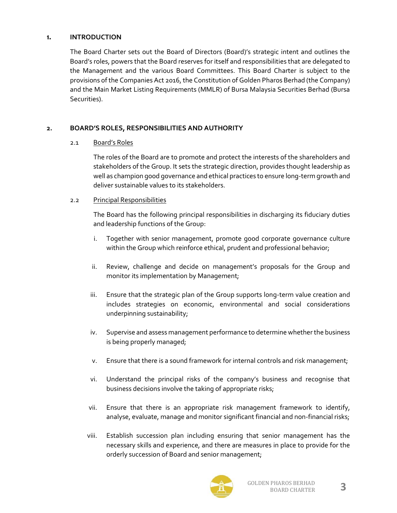#### **1. INTRODUCTION**

The Board Charter sets out the Board of Directors (Board)'s strategic intent and outlines the Board's roles, powers that the Board reserves for itself and responsibilities that are delegated to the Management and the various Board Committees. This Board Charter is subject to the provisions of the Companies Act 2016, the Constitution of Golden Pharos Berhad (the Company) and the Main Market Listing Requirements (MMLR) of Bursa Malaysia Securities Berhad (Bursa Securities).

## **2. BOARD'S ROLES, RESPONSIBILITIES AND AUTHORITY**

## 2.1 Board's Roles

The roles of the Board are to promote and protect the interests of the shareholders and stakeholders of the Group. It sets the strategic direction, provides thought leadership as well as champion good governance and ethical practices to ensure long-term growth and deliver sustainable values to its stakeholders.

## 2.2 Principal Responsibilities

The Board has the following principal responsibilities in discharging its fiduciary duties and leadership functions of the Group:

- i. Together with senior management, promote good corporate governance culture within the Group which reinforce ethical, prudent and professional behavior;
- ii. Review, challenge and decide on management's proposals for the Group and monitor its implementation by Management;
- iii. Ensure that the strategic plan of the Group supports long-term value creation and includes strategies on economic, environmental and social considerations underpinning sustainability;
- iv. Supervise and assess management performance to determine whether the business is being properly managed;
- v. Ensure that there is a sound framework for internal controls and risk management;
- vi. Understand the principal risks of the company's business and recognise that business decisions involve the taking of appropriate risks;
- vii. Ensure that there is an appropriate risk management framework to identify, analyse, evaluate, manage and monitor significant financial and non-financial risks;
- viii. Establish succession plan including ensuring that senior management has the necessary skills and experience, and there are measures in place to provide for the orderly succession of Board and senior management;

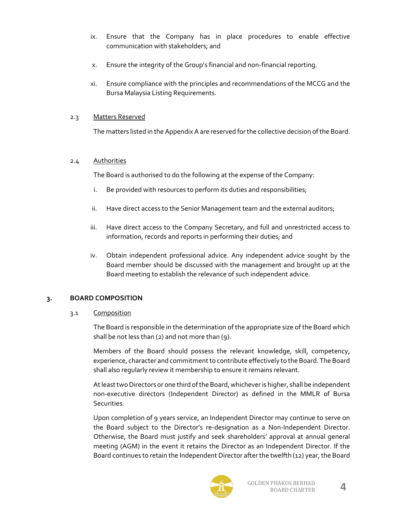- ix. Ensure that the Company has in place procedures to enable effective communication with stakeholders; and
- x. Ensure the integrity of the Group's financial and non-financial reporting.
- xi. Ensure compliance with the principles and recommendations of the MCCG and the Bursa Malaysia Listing Requirements.

## 2.3 Matters Reserved

The matters listed in the Appendix A are reserved for the collective decision of the Board.

#### 2.4 Authorities

The Board is authorised to do the following at the expense of the Company:

- i. Be provided with resources to perform its duties and responsibilities;
- ii. Have direct access to the Senior Management team and the external auditors;
- iii. Have direct access to the Company Secretary, and full and unrestricted access to information, records and reports in performing their duties; and
- iv. Obtain independent professional advice. Any independent advice sought by the Board member should be discussed with the management and brought up at the Board meeting to establish the relevance of such independent advice.

## **3. BOARD COMPOSITION**

## 3.1 Composition

The Board is responsible in the determination of the appropriate size of the Board which shall be not less than (2) and not more than (9).

Members of the Board should possess the relevant knowledge, skill, competency, experience, character and commitment to contribute effectively to the Board. The Board shall also regularly review it membership to ensure it remains relevant.

At least two Directors or one third of the Board, whichever is higher, shall be independent non-executive directors (Independent Director) as defined in the MMLR of Bursa Securities.

Upon completion of 9 years service, an Independent Director may continue to serve on the Board subject to the Director's re-designation as a Non-Independent Director. Otherwise, the Board must justify and seek shareholders' approval at annual general meeting (AGM) in the event it retains the Director as an Independent Director. If the Board continues to retain the Independent Director after the twelfth (12) year, the Board

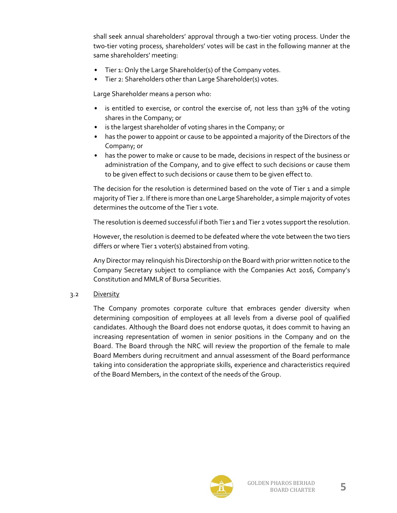shall seek annual shareholders' approval through a two-tier voting process. Under the two-tier voting process, shareholders' votes will be cast in the following manner at the same shareholders' meeting:

- Tier 1: Only the Large Shareholder(s) of the Company votes.
- Tier 2: Shareholders other than Large Shareholder(s) votes.

Large Shareholder means a person who:

- is entitled to exercise, or control the exercise of, not less than  $33%$  of the voting shares in the Company; or
- is the largest shareholder of voting shares in the Company; or
- has the power to appoint or cause to be appointed a majority of the Directors of the Company; or
- has the power to make or cause to be made, decisions in respect of the business or administration of the Company, and to give effect to such decisions or cause them to be given effect to such decisions or cause them to be given effect to.

The decision for the resolution is determined based on the vote of Tier 1 and a simple majority of Tier 2. If there is more than one Large Shareholder, a simple majority of votes determines the outcome of the Tier 1 vote.

The resolution is deemed successful if both Tier 1 and Tier 2 votes support the resolution.

However, the resolution is deemed to be defeated where the vote between the two tiers differs or where Tier 1 voter(s) abstained from voting.

Any Director may relinquish his Directorship on the Board with prior written notice to the Company Secretary subject to compliance with the Companies Act 2016, Company's Constitution and MMLR of Bursa Securities.

3.2 Diversity

The Company promotes corporate culture that embraces gender diversity when determining composition of employees at all levels from a diverse pool of qualified candidates. Although the Board does not endorse quotas, it does commit to having an increasing representation of women in senior positions in the Company and on the Board. The Board through the NRC will review the proportion of the female to male Board Members during recruitment and annual assessment of the Board performance taking into consideration the appropriate skills, experience and characteristics required of the Board Members, in the context of the needs of the Group.

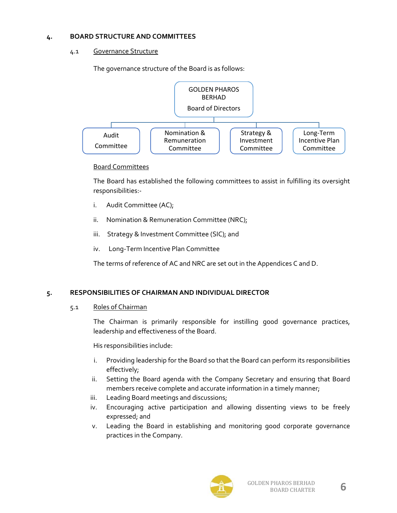#### **4. BOARD STRUCTURE AND COMMITTEES**

#### 4.1 Governance Structure

The governance structure of the Board is as follows:



## Board Committees

The Board has established the following committees to assist in fulfilling its oversight responsibilities:-

- i. Audit Committee (AC);
- ii. Nomination & Remuneration Committee (NRC);
- iii. Strategy & Investment Committee (SIC); and
- iv. Long-Term Incentive Plan Committee

The terms of reference of AC and NRC are set out in the Appendices C and D.

## **5. RESPONSIBILITIES OF CHAIRMAN AND INDIVIDUAL DIRECTOR**

## 5.1 Roles of Chairman

The Chairman is primarily responsible for instilling good governance practices, leadership and effectiveness of the Board.

His responsibilities include:

- i. Providing leadership for the Board so that the Board can perform its responsibilities effectively;
- ii. Setting the Board agenda with the Company Secretary and ensuring that Board members receive complete and accurate information in a timely manner;
- iii. Leading Board meetings and discussions;
- iv. Encouraging active participation and allowing dissenting views to be freely expressed; and
- v. Leading the Board in establishing and monitoring good corporate governance practices in the Company.

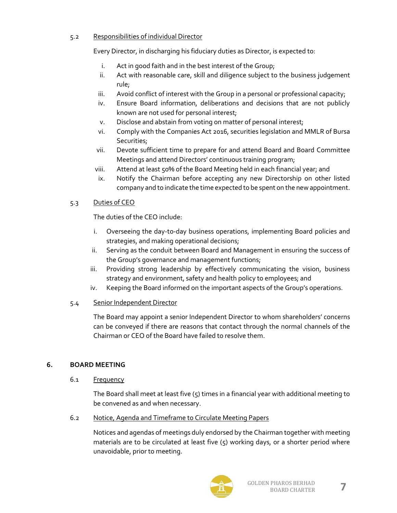## 5.2 Responsibilities of individual Director

Every Director, in discharging his fiduciary duties as Director, is expected to:

- i. Act in good faith and in the best interest of the Group;
- ii. Act with reasonable care, skill and diligence subject to the business judgement rule;
- iii. Avoid conflict of interest with the Group in a personal or professional capacity;
- iv. Ensure Board information, deliberations and decisions that are not publicly known are not used for personal interest;
- v. Disclose and abstain from voting on matter of personal interest;
- vi. Comply with the Companies Act 2016, securities legislation and MMLR of Bursa Securities;
- vii. Devote sufficient time to prepare for and attend Board and Board Committee Meetings and attend Directors' continuous training program;
- viii. Attend at least 50% of the Board Meeting held in each financial year; and
- ix. Notify the Chairman before accepting any new Directorship on other listed company and to indicate the time expected to be spent on the new appointment.

# 5.3 Duties of CEO

The duties of the CEO include:

- i. Overseeing the day-to-day business operations, implementing Board policies and strategies, and making operational decisions;
- ii. Serving as the conduit between Board and Management in ensuring the success of the Group's governance and management functions;
- iii. Providing strong leadership by effectively communicating the vision, business strategy and environment, safety and health policy to employees; and
- iv. Keeping the Board informed on the important aspects of the Group's operations.

# 5.4 Senior Independent Director

The Board may appoint a senior Independent Director to whom shareholders' concerns can be conveyed if there are reasons that contact through the normal channels of the Chairman or CEO of the Board have failed to resolve them.

# **6. BOARD MEETING**

6.1 Frequency

The Board shall meet at least five (5) times in a financial year with additional meeting to be convened as and when necessary.

6.2 Notice, Agenda and Timeframe to Circulate Meeting Papers

Notices and agendas of meetings duly endorsed by the Chairman together with meeting materials are to be circulated at least five (5) working days, or a shorter period where unavoidable, prior to meeting.

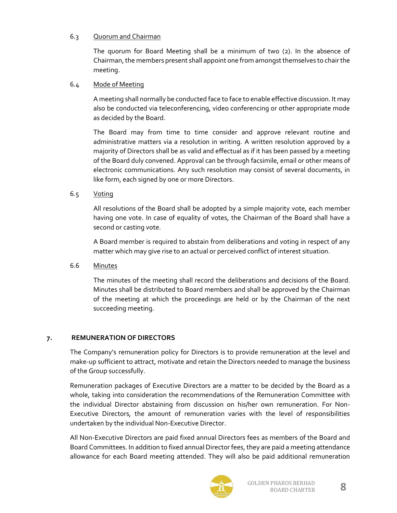## 6.3 Quorum and Chairman

The quorum for Board Meeting shall be a minimum of two (2). In the absence of Chairman, the members present shall appoint one from amongst themselves to chair the meeting.

## 6.4 Mode of Meeting

A meeting shall normally be conducted face to face to enable effective discussion. It may also be conducted via teleconferencing, video conferencing or other appropriate mode as decided by the Board.

The Board may from time to time consider and approve relevant routine and administrative matters via a resolution in writing. A written resolution approved by a majority of Directors shall be as valid and effectual as if it has been passed by a meeting of the Board duly convened. Approval can be through facsimile, email or other means of electronic communications. Any such resolution may consist of several documents, in like form, each signed by one or more Directors.

## 6.5 Voting

All resolutions of the Board shall be adopted by a simple majority vote, each member having one vote. In case of equality of votes, the Chairman of the Board shall have a second or casting vote.

A Board member is required to abstain from deliberations and voting in respect of any matter which may give rise to an actual or perceived conflict of interest situation.

## 6.6 Minutes

The minutes of the meeting shall record the deliberations and decisions of the Board. Minutes shall be distributed to Board members and shall be approved by the Chairman of the meeting at which the proceedings are held or by the Chairman of the next succeeding meeting.

## **7. REMUNERATION OF DIRECTORS**

The Company's remuneration policy for Directors is to provide remuneration at the level and make-up sufficient to attract, motivate and retain the Directors needed to manage the business of the Group successfully.

Remuneration packages of Executive Directors are a matter to be decided by the Board as a whole, taking into consideration the recommendations of the Remuneration Committee with the individual Director abstaining from discussion on his/her own remuneration. For Non-Executive Directors, the amount of remuneration varies with the level of responsibilities undertaken by the individual Non-Executive Director.

All Non-Executive Directors are paid fixed annual Directors fees as members of the Board and Board Committees. In addition to fixed annual Director fees, they are paid a meeting attendance allowance for each Board meeting attended. They will also be paid additional remuneration

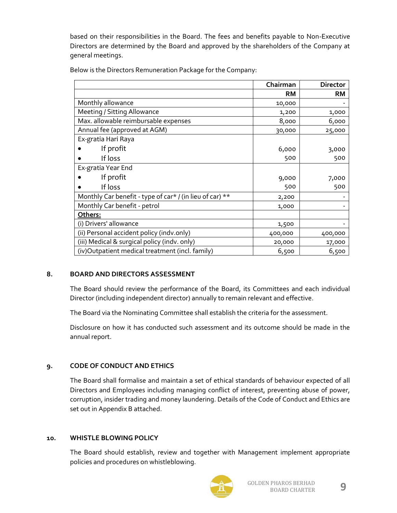based on their responsibilities in the Board. The fees and benefits payable to Non-Executive Directors are determined by the Board and approved by the shareholders of the Company at general meetings.

|                                                          | Chairman  | <b>Director</b> |
|----------------------------------------------------------|-----------|-----------------|
|                                                          | <b>RM</b> | <b>RM</b>       |
| Monthly allowance                                        | 10,000    |                 |
| Meeting / Sitting Allowance                              | 1,200     | 1,000           |
| Max. allowable reimbursable expenses                     | 8,000     | 6,000           |
| Annual fee (approved at AGM)                             | 30,000    | 25,000          |
| Ex-gratia Hari Raya                                      |           |                 |
| If profit                                                | 6,000     | 3,000           |
| If loss                                                  | 500       | 500             |
| Ex-gratia Year End                                       |           |                 |
| If profit                                                | 9,000     | 7,000           |
| If loss                                                  | 500       | 500             |
| Monthly Car benefit - type of car* / (in lieu of car) ** | 2,200     |                 |
| Monthly Car benefit - petrol                             | 1,000     |                 |
| Others:                                                  |           |                 |
| (i) Drivers' allowance                                   | 1,500     |                 |
| (ii) Personal accident policy (indv.only)                | 400,000   | 400,000         |
| (iii) Medical & surgical policy (indv. only)             | 20,000    | 17,000          |
| (iv)Outpatient medical treatment (incl. family)          | 6,500     | 6,500           |

Below is the Directors Remuneration Package for the Company:

#### **8. BOARD AND DIRECTORS ASSESSMENT**

The Board should review the performance of the Board, its Committees and each individual Director (including independent director) annually to remain relevant and effective.

The Board via the Nominating Committee shall establish the criteria for the assessment.

Disclosure on how it has conducted such assessment and its outcome should be made in the annual report.

#### **9. CODE OF CONDUCT AND ETHICS**

The Board shall formalise and maintain a set of ethical standards of behaviour expected of all Directors and Employees including managing conflict of interest, preventing abuse of power, corruption, insider trading and money laundering. Details of the Code of Conduct and Ethics are set out in Appendix B attached.

#### **10. WHISTLE BLOWING POLICY**

The Board should establish, review and together with Management implement appropriate policies and procedures on whistleblowing.

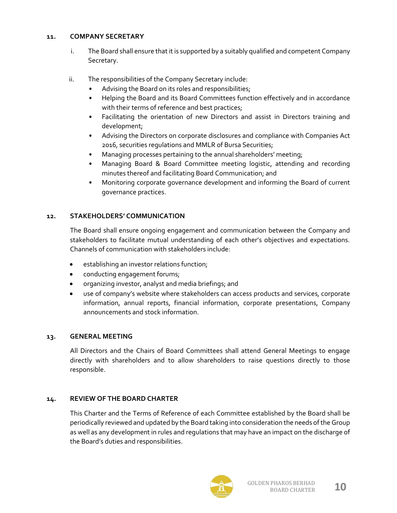#### **11. COMPANY SECRETARY**

- i. The Board shall ensure that it is supported by a suitably qualified and competent Company Secretary.
- ii. The responsibilities of the Company Secretary include:
	- Advising the Board on its roles and responsibilities;
	- Helping the Board and its Board Committees function effectively and in accordance with their terms of reference and best practices;
	- Facilitating the orientation of new Directors and assist in Directors training and development;
	- Advising the Directors on corporate disclosures and compliance with Companies Act 2016, securities regulations and MMLR of Bursa Securities;
	- Managing processes pertaining to the annual shareholders' meeting;
	- Managing Board & Board Committee meeting logistic, attending and recording minutes thereof and facilitating Board Communication; and
	- Monitoring corporate governance development and informing the Board of current governance practices.

## **12. STAKEHOLDERS' COMMUNICATION**

The Board shall ensure ongoing engagement and communication between the Company and stakeholders to facilitate mutual understanding of each other's objectives and expectations. Channels of communication with stakeholders include:

- establishing an investor relations function;
- conducting engagement forums;
- organizing investor, analyst and media briefings; and
- use of company's website where stakeholders can access products and services, corporate information, annual reports, financial information, corporate presentations, Company announcements and stock information.

## **13. GENERAL MEETING**

All Directors and the Chairs of Board Committees shall attend General Meetings to engage directly with shareholders and to allow shareholders to raise questions directly to those responsible.

## **14. REVIEW OF THE BOARD CHARTER**

This Charter and the Terms of Reference of each Committee established by the Board shall be periodically reviewed and updated by the Board taking into consideration the needs of the Group as well as any development in rules and regulations that may have an impact on the discharge of the Board's duties and responsibilities.

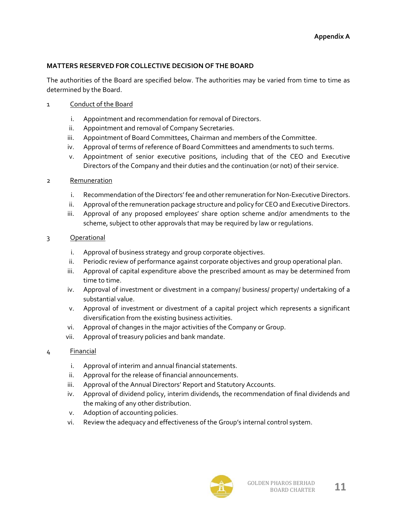## **MATTERS RESERVED FOR COLLECTIVE DECISION OF THE BOARD**

The authorities of the Board are specified below. The authorities may be varied from time to time as determined by the Board.

## 1 Conduct of the Board

- i. Appointment and recommendation for removal of Directors.
- ii. Appointment and removal of Company Secretaries.
- iii. Appointment of Board Committees, Chairman and members of the Committee.
- iv. Approval of terms of reference of Board Committees and amendments to such terms.
- v. Appointment of senior executive positions, including that of the CEO and Executive Directors of the Company and their duties and the continuation (or not) of their service.

## 2 Remuneration

- i. Recommendation of the Directors' fee and other remuneration for Non-Executive Directors.
- ii. Approval of the remuneration package structure and policy for CEO and Executive Directors.
- iii. Approval of any proposed employees' share option scheme and/or amendments to the scheme, subject to other approvals that may be required by law or regulations.

## 3 Operational

- i. Approval of business strategy and group corporate objectives.
- ii. Periodic review of performance against corporate objectives and group operational plan.
- iii. Approval of capital expenditure above the prescribed amount as may be determined from time to time.
- iv. Approval of investment or divestment in a company/ business/ property/ undertaking of a substantial value.
- v. Approval of investment or divestment of a capital project which represents a significant diversification from the existing business activities.
- vi. Approval of changes in the major activities of the Company or Group.
- vii. Approval of treasury policies and bank mandate.

## 4 Financial

- i. Approval of interim and annual financial statements.
- ii. Approval for the release of financial announcements.
- iii. Approval of the Annual Directors' Report and Statutory Accounts.
- iv. Approval of dividend policy, interim dividends, the recommendation of final dividends and the making of any other distribution.
- v. Adoption of accounting policies.
- vi. Review the adequacy and effectiveness of the Group's internal control system.

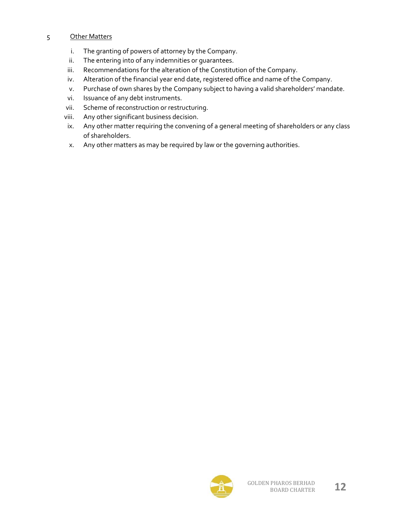## 5 Other Matters

- i. The granting of powers of attorney by the Company.
- ii. The entering into of any indemnities or guarantees.
- iii. Recommendations for the alteration of the Constitution of the Company.
- iv. Alteration of the financial year end date, registered office and name of the Company.
- v. Purchase of own shares by the Company subject to having a valid shareholders' mandate.
- vi. Issuance of any debt instruments.
- vii. Scheme of reconstruction or restructuring.
- viii. Any other significant business decision.
- ix. Any other matter requiring the convening of a general meeting of shareholders or any class of shareholders.
- x. Any other matters as may be required by law or the governing authorities.

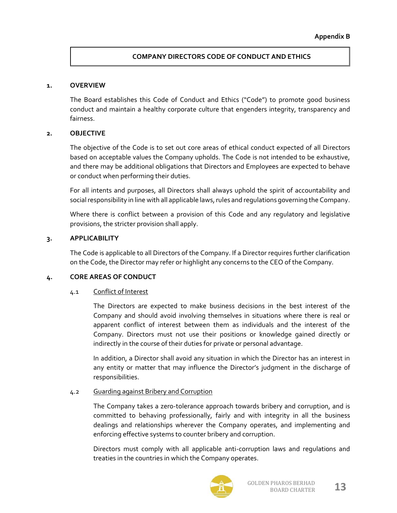## **COMPANY DIRECTORS CODE OF CONDUCT AND ETHICS**

#### **1. OVERVIEW**

The Board establishes this Code of Conduct and Ethics ("Code") to promote good business conduct and maintain a healthy corporate culture that engenders integrity, transparency and fairness.

#### **2. OBJECTIVE**

The objective of the Code is to set out core areas of ethical conduct expected of all Directors based on acceptable values the Company upholds. The Code is not intended to be exhaustive, and there may be additional obligations that Directors and Employees are expected to behave or conduct when performing their duties.

For all intents and purposes, all Directors shall always uphold the spirit of accountability and social responsibility in line with all applicable laws, rules and regulations governing the Company.

Where there is conflict between a provision of this Code and any regulatory and legislative provisions, the stricter provision shall apply.

#### **3. APPLICABILITY**

The Code is applicable to all Directors of the Company. If a Director requires further clarification on the Code, the Director may refer or highlight any concerns to the CEO of the Company.

#### **4. CORE AREAS OF CONDUCT**

#### 4.1 Conflict of Interest

The Directors are expected to make business decisions in the best interest of the Company and should avoid involving themselves in situations where there is real or apparent conflict of interest between them as individuals and the interest of the Company. Directors must not use their positions or knowledge gained directly or indirectly in the course of their duties for private or personal advantage.

In addition, a Director shall avoid any situation in which the Director has an interest in any entity or matter that may influence the Director's judgment in the discharge of responsibilities.

#### 4.2 Guarding against Bribery and Corruption

The Company takes a zero-tolerance approach towards bribery and corruption, and is committed to behaving professionally, fairly and with integrity in all the business dealings and relationships wherever the Company operates, and implementing and enforcing effective systems to counter bribery and corruption.

Directors must comply with all applicable anti-corruption laws and regulations and treaties in the countries in which the Company operates.

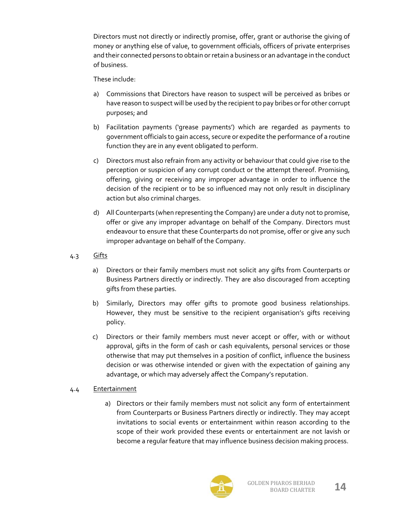Directors must not directly or indirectly promise, offer, grant or authorise the giving of money or anything else of value, to government officials, officers of private enterprises and their connected persons to obtain or retain a business or an advantage in the conduct of business.

These include:

- a) Commissions that Directors have reason to suspect will be perceived as bribes or have reason to suspect will be used by the recipient to pay bribes or for other corrupt purposes; and
- b) Facilitation payments ('grease payments') which are regarded as payments to government officials to gain access, secure or expedite the performance of a routine function they are in any event obligated to perform.
- c) Directors must also refrain from any activity or behaviour that could give rise to the perception or suspicion of any corrupt conduct or the attempt thereof. Promising, offering, giving or receiving any improper advantage in order to influence the decision of the recipient or to be so influenced may not only result in disciplinary action but also criminal charges.
- d) All Counterparts (when representing the Company) are under a duty not to promise, offer or give any improper advantage on behalf of the Company. Directors must endeavour to ensure that these Counterparts do not promise, offer or give any such improper advantage on behalf of the Company.
- 4.3 Gifts
	- a) Directors or their family members must not solicit any gifts from Counterparts or Business Partners directly or indirectly. They are also discouraged from accepting gifts from these parties.
	- b) Similarly, Directors may offer gifts to promote good business relationships. However, they must be sensitive to the recipient organisation's gifts receiving policy.
	- c) Directors or their family members must never accept or offer, with or without approval, gifts in the form of cash or cash equivalents, personal services or those otherwise that may put themselves in a position of conflict, influence the business decision or was otherwise intended or given with the expectation of gaining any advantage, or which may adversely affect the Company's reputation.

## 4.4 Entertainment

a) Directors or their family members must not solicit any form of entertainment from Counterparts or Business Partners directly or indirectly. They may accept invitations to social events or entertainment within reason according to the scope of their work provided these events or entertainment are not lavish or become a regular feature that may influence business decision making process.

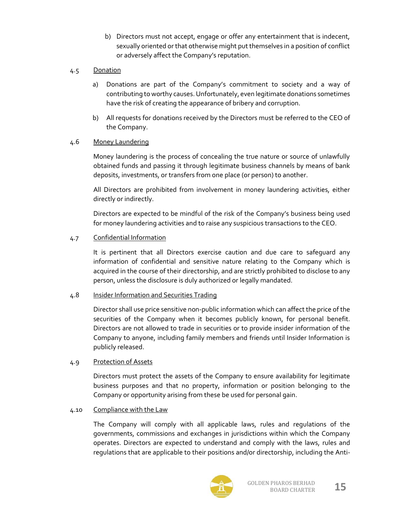b) Directors must not accept, engage or offer any entertainment that is indecent, sexually oriented or that otherwise might put themselves in a position of conflict or adversely affect the Company's reputation.

## 4.5 Donation

- a) Donations are part of the Company's commitment to society and a way of contributing to worthy causes. Unfortunately, even legitimate donations sometimes have the risk of creating the appearance of bribery and corruption.
- b) All requests for donations received by the Directors must be referred to the CEO of the Company.

## 4.6 Money Laundering

Money laundering is the process of concealing the true nature or source of unlawfully obtained funds and passing it through legitimate business channels by means of bank deposits, investments, or transfers from one place (or person) to another.

All Directors are prohibited from involvement in money laundering activities, either directly or indirectly.

Directors are expected to be mindful of the risk of the Company's business being used for money laundering activities and to raise any suspicious transactions to the CEO.

## 4.7 Confidential Information

It is pertinent that all Directors exercise caution and due care to safeguard any information of confidential and sensitive nature relating to the Company which is acquired in the course of their directorship, and are strictly prohibited to disclose to any person, unless the disclosure is duly authorized or legally mandated.

## 4.8 Insider Information and Securities Trading

Director shall use price sensitive non-public information which can affect the price of the securities of the Company when it becomes publicly known, for personal benefit. Directors are not allowed to trade in securities or to provide insider information of the Company to anyone, including family members and friends until Insider Information is publicly released.

## 4.9 Protection of Assets

Directors must protect the assets of the Company to ensure availability for legitimate business purposes and that no property, information or position belonging to the Company or opportunity arising from these be used for personal gain.

## 4.10 Compliance with the Law

The Company will comply with all applicable laws, rules and regulations of the governments, commissions and exchanges in jurisdictions within which the Company operates. Directors are expected to understand and comply with the laws, rules and regulations that are applicable to their positions and/or directorship, including the Anti-

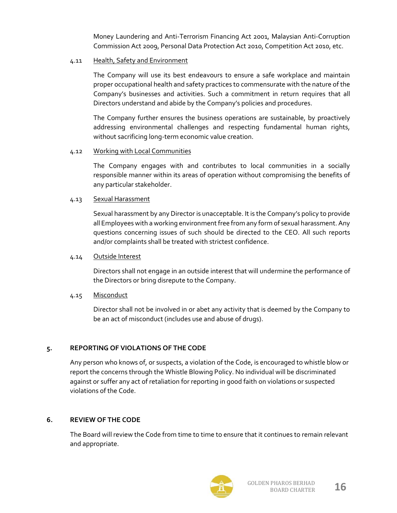Money Laundering and Anti-Terrorism Financing Act 2001, Malaysian Anti-Corruption Commission Act 2009, Personal Data Protection Act 2010, Competition Act 2010, etc.

## 4.11 Health, Safety and Environment

The Company will use its best endeavours to ensure a safe workplace and maintain proper occupational health and safety practices to commensurate with the nature of the Company's businesses and activities. Such a commitment in return requires that all Directors understand and abide by the Company's policies and procedures.

The Company further ensures the business operations are sustainable, by proactively addressing environmental challenges and respecting fundamental human rights, without sacrificing long-term economic value creation.

#### 4.12 Working with Local Communities

The Company engages with and contributes to local communities in a socially responsible manner within its areas of operation without compromising the benefits of any particular stakeholder.

#### 4.13 Sexual Harassment

Sexual harassment by any Director is unacceptable. It is the Company's policy to provide all Employees with a working environment free from any form of sexual harassment. Any questions concerning issues of such should be directed to the CEO. All such reports and/or complaints shall be treated with strictest confidence.

## 4.14 Outside Interest

Directors shall not engage in an outside interest that will undermine the performance of the Directors or bring disrepute to the Company.

## 4.15 Misconduct

Director shall not be involved in or abet any activity that is deemed by the Company to be an act of misconduct (includes use and abuse of drugs).

## **5. REPORTING OF VIOLATIONS OF THE CODE**

Any person who knows of, or suspects, a violation of the Code, is encouraged to whistle blow or report the concerns through the Whistle Blowing Policy. No individual will be discriminated against or suffer any act of retaliation for reporting in good faith on violations or suspected violations of the Code.

## **6. REVIEW OF THE CODE**

The Board will review the Code from time to time to ensure that it continues to remain relevant and appropriate.

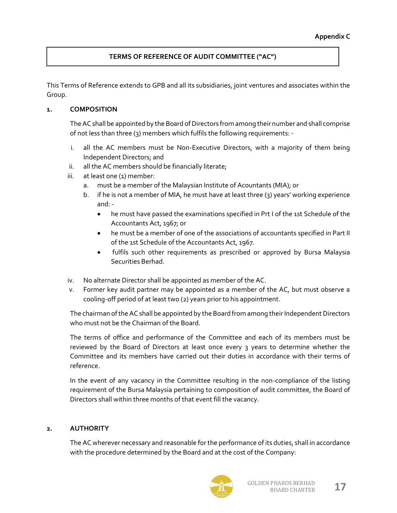## **TERMS OF REFERENCE OF AUDIT COMMITTEE ("AC")**

This Terms of Reference extends to GPB and all its subsidiaries, joint ventures and associates within the Group.

## **1. COMPOSITION**

The AC shall be appointed by the Board of Directors from among their number and shall comprise of not less than three (3) members which fulfils the following requirements: -

- i. all the AC members must be Non-Executive Directors, with a majority of them being Independent Directors; and
- ii. all the AC members should be financially literate;
- iii. at least one (1) member:
	- a. must be a member of the Malaysian Institute of Acountants (MIA); or
	- b. if he is not a member of MIA, he must have at least three (3) years' working experience and:
		- he must have passed the examinations specified in Prt I of the 1st Schedule of the Accountants Act, 1967; or
		- he must be a member of one of the associations of accountants specified in Part II of the 1st Schedule of the Accountants Act, 1967.
		- fulfils such other requirements as prescribed or approved by Bursa Malaysia Securities Berhad.
- iv. No alternate Director shall be appointed as member of the AC.
- v. Former key audit partner may be appointed as a member of the AC, but must observe a cooling-off period of at least two (2) years prior to his appointment.

The chairman of the AC shall be appointed by the Board from among their Independent Directors who must not be the Chairman of the Board.

The terms of office and performance of the Committee and each of its members must be reviewed by the Board of Directors at least once every 3 years to determine whether the Committee and its members have carried out their duties in accordance with their terms of reference.

In the event of any vacancy in the Committee resulting in the non-compliance of the listing requirement of the Bursa Malaysia pertaining to composition of audit committee, the Board of Directors shall within three months of that event fill the vacancy.

## **2. AUTHORITY**

The AC wherever necessary and reasonable for the performance of its duties, shall in accordance with the procedure determined by the Board and at the cost of the Company:

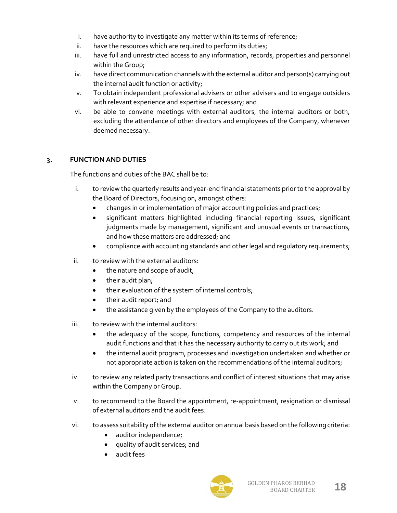- i. have authority to investigate any matter within its terms of reference;
- ii. have the resources which are required to perform its duties;
- iii. have full and unrestricted access to any information, records, properties and personnel within the Group;
- iv. have direct communication channels with the external auditor and person(s) carrying out the internal audit function or activity;
- v. To obtain independent professional advisers or other advisers and to engage outsiders with relevant experience and expertise if necessary; and
- vi. be able to convene meetings with external auditors, the internal auditors or both, excluding the attendance of other directors and employees of the Company, whenever deemed necessary.

## **3. FUNCTION AND DUTIES**

The functions and duties of the BAC shall be to:

- i. to review the quarterly results and year-end financial statements prior to the approval by the Board of Directors, focusing on, amongst others:
	- changes in or implementation of major accounting policies and practices;
	- significant matters highlighted including financial reporting issues, significant judgments made by management, significant and unusual events or transactions, and how these matters are addressed; and
	- compliance with accounting standards and other legal and regulatory requirements;
- ii. to review with the external auditors:
	- the nature and scope of audit;
	- their audit plan;
	- their evaluation of the system of internal controls;
	- their audit report; and
	- the assistance given by the employees of the Company to the auditors.
- iii. to review with the internal auditors:
	- the adequacy of the scope, functions, competency and resources of the internal audit functions and that it has the necessary authority to carry out its work; and
	- the internal audit program, processes and investigation undertaken and whether or not appropriate action is taken on the recommendations of the internal auditors;
- iv. to review any related party transactions and conflict of interest situations that may arise within the Company or Group.
- v. to recommend to the Board the appointment, re-appointment, resignation or dismissal of external auditors and the audit fees.
- vi. to assess suitability of the external auditor on annual basis based on the following criteria:
	- auditor independence;
	- quality of audit services; and
	- audit fees

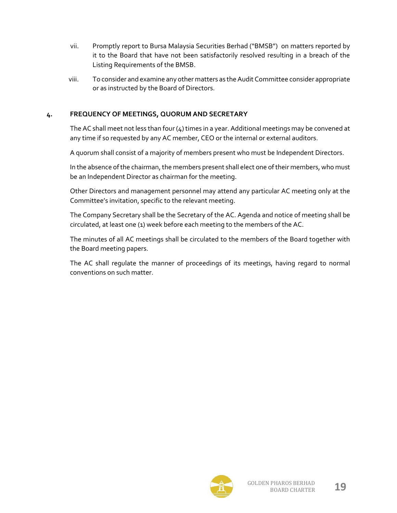- vii. Promptly report to Bursa Malaysia Securities Berhad ("BMSB") on matters reported by it to the Board that have not been satisfactorily resolved resulting in a breach of the Listing Requirements of the BMSB.
- viii. To consider and examine any other matters as the Audit Committee consider appropriate or as instructed by the Board of Directors.

## **4. FREQUENCY OF MEETINGS, QUORUM AND SECRETARY**

The AC shall meet not less than four (4) times in a year. Additional meetings may be convened at any time if so requested by any AC member, CEO or the internal or external auditors.

A quorum shall consist of a majority of members present who must be Independent Directors.

In the absence of the chairman, the members present shall elect one of their members, who must be an Independent Director as chairman for the meeting.

Other Directors and management personnel may attend any particular AC meeting only at the Committee's invitation, specific to the relevant meeting.

The Company Secretary shall be the Secretary of the AC. Agenda and notice of meeting shall be circulated, at least one (1) week before each meeting to the members of the AC.

The minutes of all AC meetings shall be circulated to the members of the Board together with the Board meeting papers.

The AC shall regulate the manner of proceedings of its meetings, having regard to normal conventions on such matter.

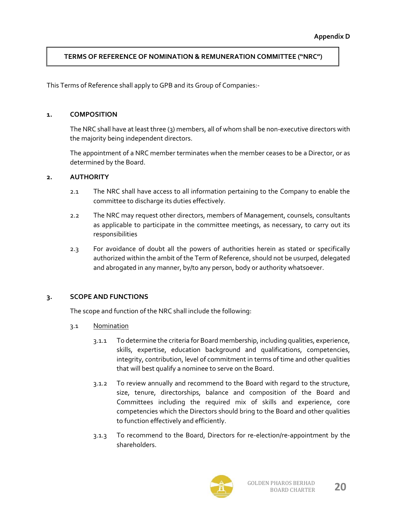## **TERMS OF REFERENCE OF NOMINATION & REMUNERATION COMMITTEE ("NRC")**

This Terms of Reference shall apply to GPB and its Group of Companies:-

#### **1. COMPOSITION**

The NRC shall have at least three (3) members, all of whom shall be non-executive directors with the majority being independent directors.

The appointment of a NRC member terminates when the member ceases to be a Director, or as determined by the Board.

#### **2. AUTHORITY**

- 2.1 The NRC shall have access to all information pertaining to the Company to enable the committee to discharge its duties effectively.
- 2.2 The NRC may request other directors, members of Management, counsels, consultants as applicable to participate in the committee meetings, as necessary, to carry out its responsibilities
- 2.3 For avoidance of doubt all the powers of authorities herein as stated or specifically authorized within the ambit of the Term of Reference, should not be usurped, delegated and abrogated in any manner, by/to any person, body or authority whatsoever.

#### **3. SCOPE AND FUNCTIONS**

The scope and function of the NRC shall include the following:

- 3.1 Nomination
	- 3.1.1 To determine the criteria for Board membership, including qualities, experience, skills, expertise, education background and qualifications, competencies, integrity, contribution, level of commitment in terms of time and other qualities that will best qualify a nominee to serve on the Board.
	- 3.1.2 To review annually and recommend to the Board with regard to the structure, size, tenure, directorships, balance and composition of the Board and Committees including the required mix of skills and experience, core competencies which the Directors should bring to the Board and other qualities to function effectively and efficiently.
	- 3.1.3 To recommend to the Board, Directors for re-election/re-appointment by the shareholders.

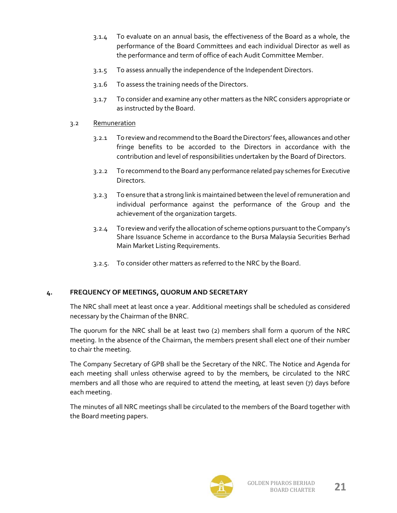- 3.1.4 To evaluate on an annual basis, the effectiveness of the Board as a whole, the performance of the Board Committees and each individual Director as well as the performance and term of office of each Audit Committee Member.
- 3.1.5 To assess annually the independence of the Independent Directors.
- 3.1.6 To assess the training needs of the Directors.
- 3.1.7 To consider and examine any other matters as the NRC considers appropriate or as instructed by the Board.

## 3.2 Remuneration

- 3.2.1 To review and recommend to the Board the Directors' fees, allowances and other fringe benefits to be accorded to the Directors in accordance with the contribution and level of responsibilities undertaken by the Board of Directors.
- 3.2.2 To recommend to the Board any performance related pay schemes for Executive Directors.
- 3.2.3 To ensure that a strong link is maintained between the level of remuneration and individual performance against the performance of the Group and the achievement of the organization targets.
- 3.2.4 To review and verify the allocation of scheme options pursuant to the Company's Share Issuance Scheme in accordance to the Bursa Malaysia Securities Berhad Main Market Listing Requirements.
- 3.2.5. To consider other matters as referred to the NRC by the Board.

## **4. FREQUENCY OF MEETINGS, QUORUM AND SECRETARY**

The NRC shall meet at least once a year. Additional meetings shall be scheduled as considered necessary by the Chairman of the BNRC.

The quorum for the NRC shall be at least two (2) members shall form a quorum of the NRC meeting. In the absence of the Chairman, the members present shall elect one of their number to chair the meeting.

The Company Secretary of GPB shall be the Secretary of the NRC. The Notice and Agenda for each meeting shall unless otherwise agreed to by the members, be circulated to the NRC members and all those who are required to attend the meeting, at least seven (7) days before each meeting.

The minutes of all NRC meetings shall be circulated to the members of the Board together with the Board meeting papers.

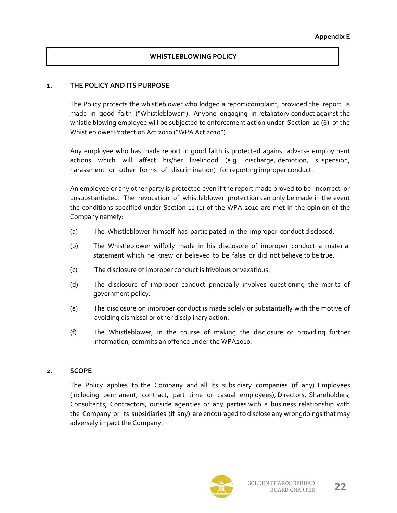## **WHISTLEBLOWING POLICY**

#### **1. THE POLICY AND ITS PURPOSE**

The Policy protects the whistleblower who lodged a report/complaint, provided the report is made in good faith ("Whistleblower"). Anyone engaging in retaliatory conduct against the whistle blowing employee will be subjected to enforcement action under Section 10 (6) of the Whistleblower Protection Act 2010 ("WPA Act 2010").

Any employee who has made report in good faith is protected against adverse employment actions which will affect his/her livelihood (e.g. discharge, demotion, suspension, harassment or other forms of discrimination) for reporting improper conduct.

An employee or any other party is protected even if the report made proved to be incorrect or unsubstantiated. The revocation of whistleblower protection can only be made in the event the conditions specified under Section 11 (1) of the WPA 2010 are met in the opinion of the Company namely:

- (a) The Whistleblower himself has participated in the improper conduct disclosed.
- (b) The Whistleblower wilfully made in his disclosure of improper conduct a material statement which he knew or believed to be false or did not believe to be true.
- (c) The disclosure of improper conduct is frivolous or vexatious.
- (d) The disclosure of improper conduct principally involves questioning the merits of government policy.
- (e) The disclosure on improper conduct is made solely or substantially with the motive of avoiding dismissal or other disciplinary action.
- (f) The Whistleblower, in the course of making the disclosure or providing further information, commits an offence under the WPA2010.

#### **2. SCOPE**

The Policy applies to the Company and all its subsidiary companies (if any). Employees (including permanent, contract, part time or casual employees), Directors, Shareholders, Consultants, Contractors, outside agencies or any parties with a business relationship with the Company or its subsidiaries (if any) are encouraged to disclose any wrongdoings that may adversely impact the Company.

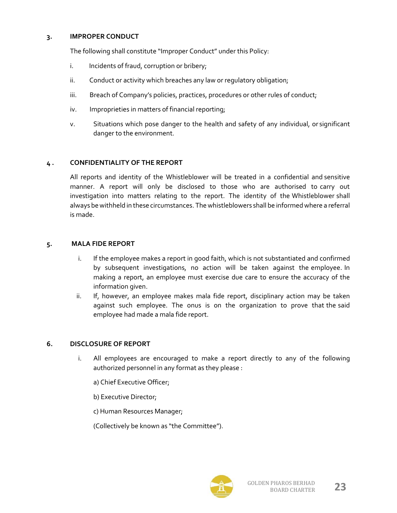#### **3. IMPROPER CONDUCT**

The following shall constitute "Improper Conduct" under this Policy:

- i. Incidents of fraud, corruption or bribery;
- ii. Conduct or activity which breaches any law or regulatory obligation;
- iii. Breach of Company's policies, practices, procedures or other rules of conduct;
- iv. Improprieties in matters of financial reporting;
- v. Situations which pose danger to the health and safety of any individual, or significant danger to the environment.

## **4 . CONFIDENTIALITY OF THE REPORT**

All reports and identity of the Whistleblower will be treated in a confidential and sensitive manner. A report will only be disclosed to those who are authorised to carry out investigation into matters relating to the report. The identity of the Whistleblower shall always be withheld in these circumstances. The whistleblowers shall be informed where a referral is made.

## **5. MALA FIDE REPORT**

- i. If the employee makes a report in good faith, which is not substantiated and confirmed by subsequent investigations, no action will be taken against the employee. In making a report, an employee must exercise due care to ensure the accuracy of the information given.
- ii. If, however, an employee makes mala fide report, disciplinary action may be taken against such employee. The onus is on the organization to prove that the said employee had made a mala fide report.

## **6. DISCLOSURE OF REPORT**

- i. All employees are encouraged to make a report directly to any of the following authorized personnel in any format as they please :
	- a) Chief Executive Officer;
	- b) Executive Director;
	- c) Human Resources Manager;

(Collectively be known as "the Committee").

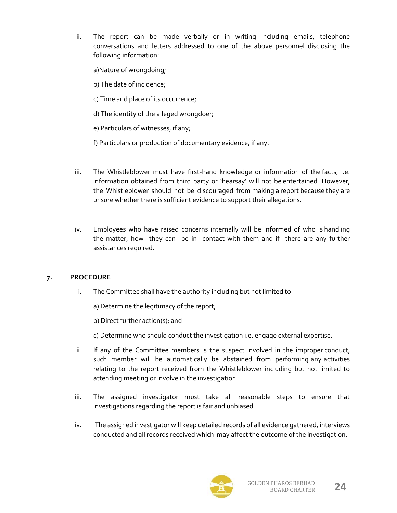ii. The report can be made verbally or in writing including emails, telephone conversations and letters addressed to one of the above personnel disclosing the following information:

a)Nature of wrongdoing;

b) The date of incidence;

c) Time and place of its occurrence;

d) The identity of the alleged wrongdoer;

e) Particulars of witnesses, if any;

f) Particulars or production of documentary evidence, if any.

- iii. The Whistleblower must have first-hand knowledge or information of the facts, i.e. information obtained from third party or 'hearsay' will not be entertained. However, the Whistleblower should not be discouraged from making a report because they are unsure whether there is sufficient evidence to support their allegations.
- iv. Employees who have raised concerns internally will be informed of who is handling the matter, how they can be in contact with them and if there are any further assistances required.

## **7. PROCEDURE**

i. The Committee shall have the authority including but not limited to:

a) Determine the legitimacy of the report;

b) Direct further action(s); and

c) Determine who should conduct the investigation i.e. engage external expertise.

- ii. If any of the Committee members is the suspect involved in the improper conduct, such member will be automatically be abstained from performing any activities relating to the report received from the Whistleblower including but not limited to attending meeting or involve in the investigation.
- iii. The assigned investigator must take all reasonable steps to ensure that investigations regarding the report is fair and unbiased.
- iv. The assigned investigator will keep detailed records of all evidence gathered, interviews conducted and all records received which may affect the outcome of the investigation.

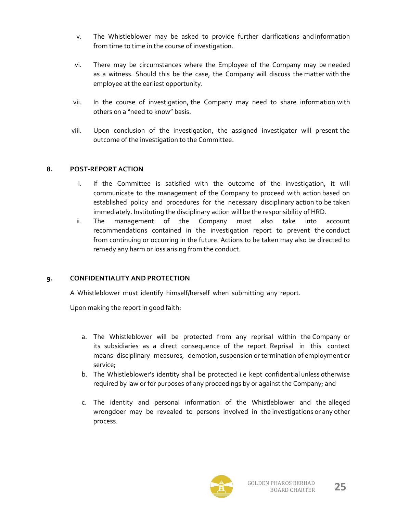- v. The Whistleblower may be asked to provide further clarifications and information from time to time in the course of investigation.
- vi. There may be circumstances where the Employee of the Company may be needed as a witness. Should this be the case, the Company will discuss the matter with the employee at the earliest opportunity.
- vii. In the course of investigation, the Company may need to share information with others on a "need to know" basis.
- viii. Upon conclusion of the investigation, the assigned investigator will present the outcome of the investigation to the Committee.

## **8. POST-REPORT ACTION**

- i. If the Committee is satisfied with the outcome of the investigation, it will communicate to the management of the Company to proceed with action based on established policy and procedures for the necessary disciplinary action to be taken immediately. Instituting the disciplinary action will be the responsibility of HRD.
- ii. The management of the Company must also take into account recommendations contained in the investigation report to prevent the conduct from continuing or occurring in the future. Actions to be taken may also be directed to remedy any harm or loss arising from the conduct.

## **9. CONFIDENTIALITY AND PROTECTION**

A Whistleblower must identify himself/herself when submitting any report.

Upon making the report in good faith:

- a. The Whistleblower will be protected from any reprisal within the Company or its subsidiaries as a direct consequence of the report. Reprisal in this context means disciplinary measures, demotion, suspension or termination of employment or service;
- b. The Whistleblower's identity shall be protected i.e kept confidential unless otherwise required by law or for purposes of any proceedings by or against the Company; and
- c. The identity and personal information of the Whistleblower and the alleged wrongdoer may be revealed to persons involved in the investigations or any other process.